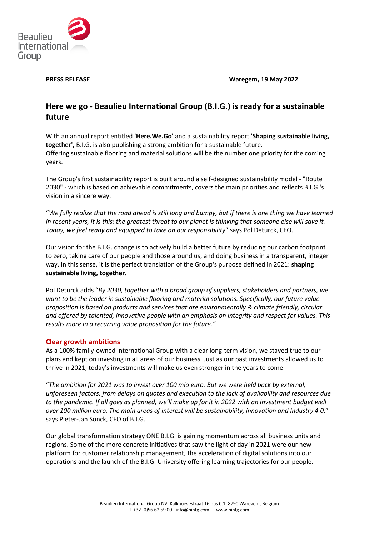

**PRESS RELEASE Waregem, 19 May 2022**

# **Here we go - Beaulieu International Group (B.I.G.) is ready for a sustainable future**

With an annual report entitled **'Here.We.Go'** and a sustainability report **'Shaping sustainable living, together',** B.I.G. is also publishing a strong ambition for a sustainable future. Offering sustainable flooring and material solutions will be the number one priority for the coming years.

The Group's first sustainability report is built around a self-designed sustainability model - "Route 2030" - which is based on achievable commitments, covers the main priorities and reflects B.I.G.'s vision in a sincere way.

"*We fully realize that the road ahead is still long and bumpy, but if there is one thing we have learned in recent years, it is this: the greatest threat to our planet is thinking that someone else will save it. Today, we feel ready and equipped to take on our responsibility*" says Pol Deturck, CEO.

Our vision for the B.I.G. change is to actively build a better future by reducing our carbon footprint to zero, taking care of our people and those around us, and doing business in a transparent, integer way. In this sense, it is the perfect translation of the Group's purpose defined in 2021: **shaping sustainable living, together.**

Pol Deturck adds "*By 2030, together with a broad group of suppliers, stakeholders and partners, we want to be the leader in sustainable flooring and material solutions. Specifically, our future value proposition is based on products and services that are environmentally & climate friendly, circular and offered by talented, innovative people with an emphasis on integrity and respect for values. This results more in a recurring value proposition for the future."*

## **Clear growth ambitions**

As a 100% family-owned international Group with a clear long-term vision, we stayed true to our plans and kept on investing in all areas of our business. Just as our past investments allowed us to thrive in 2021, today's investments will make us even stronger in the years to come.

"*The ambition for 2021 was to invest over 100 mio euro. But we were held back by external, unforeseen factors: from delays on quotes and execution to the lack of availability and resources due to the pandemic. If all goes as planned, we'll make up for it in 2022 with an investment budget well over 100 million euro. The main areas of interest will be sustainability, innovation and Industry 4.0*." says Pieter-Jan Sonck, CFO of B.I.G.

Our global transformation strategy ONE B.I.G. is gaining momentum across all business units and regions. Some of the more concrete initiatives that saw the light of day in 2021 were our new platform for customer relationship management, the acceleration of digital solutions into our operations and the launch of the B.I.G. University offering learning trajectories for our people.